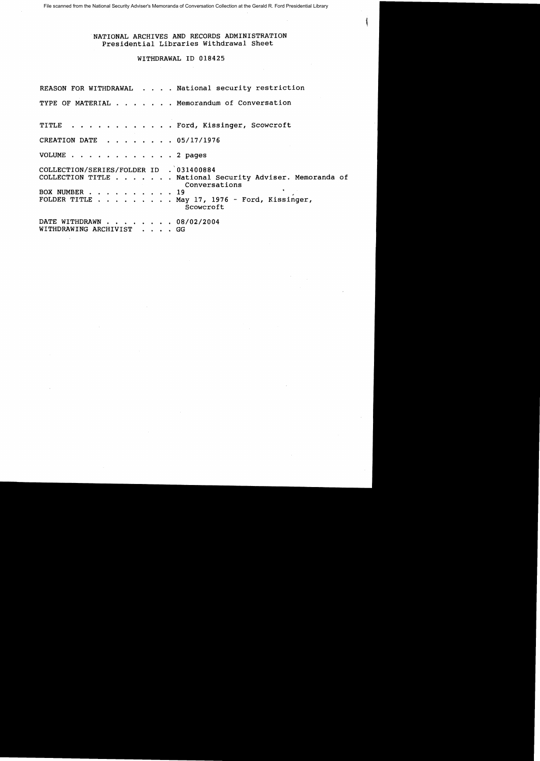File scanned from the National Security Adviser's Memoranda of Conversation Collection at the Gerald R. Ford Presidential Library

## NATIONAL ARCHIVES AND RECORDS ADMINISTRATION Presidential Libraries Withdrawal Sheet

## WITHDRAWAL ID 018425

REASON FOR WITHDRAWAL . . . . National security restriction TYPE OF MATERIAL . . . . . . Memorandum of Conversation TITLE . . . . . . . . . . . . Ford, Kissinger, Scowcroft CREATION DATE .... 05/17/1976 VOLUME . . . . 2 pages COLLECTION/SERIES/FOLDER ID . 031400884 COLLECTION TITLE .•..•.. National Security Adviser. Memoranda of Conversations<br>19 BOX NUMBER . . FOLDER TITLE . . . . . . . . May 17, 1976 - Ford, Kissinger, Scowcroft DATE WITHDRAWN . . . . . . . 08/02/2004 WITHDRAWING ARCHIVIST . . . . GG